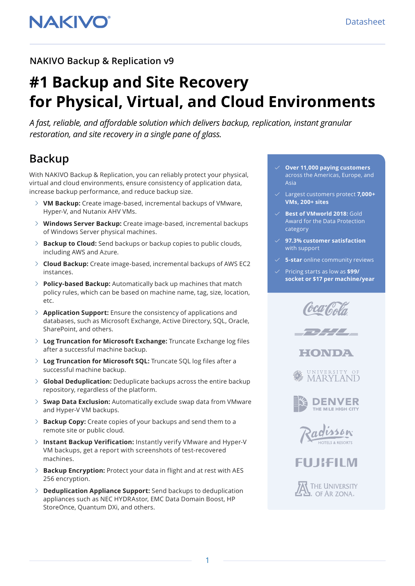### **NAKIVO Backup & Replication v9**

# **#1 Backup and Site Recovery for Physical, Virtual, and Cloud Environments**

*A fast, reliable, and affordable solution which delivers backup, replication, instant granular restoration, and site recovery in a single pane of glass.*

# **Backup**

With NAKIVO Backup & Replication, you can reliably protect your physical, virtual and cloud environments, ensure consistency of application data, increase backup performance, and reduce backup size.

- **VM Backup:** Create image-based, incremental backups of VMware, Hyper-V, and Nutanix AHV VMs.
- **Windows Server Backup:** Create image-based, incremental backups of Windows Server physical machines.
- **Backup to Cloud:** Send backups or backup copies to public clouds, including AWS and Azure.
- **Cloud Backup:** Create image-based, incremental backups of AWS EC2 instances.
- **Policy-based Backup:** Automatically back up machines that match policy rules, which can be based on machine name, tag, size, location, etc.
- **Application Support:** Ensure the consistency of applications and databases, such as Microsoft Exchange, Active Directory, SQL, Oracle, SharePoint, and others.
- **Log Truncation for Microsoft Exchange:** Truncate Exchange log files after a successful machine backup.
- **Log Truncation for Microsoft SQL:** Truncate SQL log files after a successful machine backup.
- **Global Deduplication:** Deduplicate backups across the entire backup repository, regardless of the platform.
- **Swap Data Exclusion:** Automatically exclude swap data from VMware and Hyper-V VM backups.
- **Backup Copy:** Create copies of your backups and send them to a remote site or public cloud.
- **Instant Backup Verification:** Instantly verify VMware and Hyper-V VM backups, get a report with screenshots of test-recovered machines.
- **Backup Encryption:** Protect your data in flight and at rest with AES 256 encryption.
- **Deduplication Appliance Support:** Send backups to deduplication appliances such as NEC HYDRAstor, EMC Data Domain Boost, HP StoreOnce, Quantum DXi, and others.
- **Over 11,000 paying customers**  across the Americas, Europe, and Asia
- Largest customers protect **7,000+ VMs, 200+ sites**
- **Best of VMworld 2018: Gold** Award for the Data Protection category
- **97.3% customer satisfaction** with support
- **5-star** online community reviews
- Pricing starts as low as **\$99/ socket or \$17 per machine/year**















THE UNIVERSITY OF AR ZONA.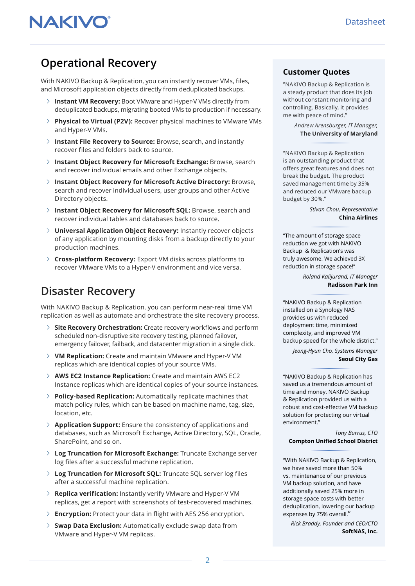# **Operational Recovery**

With NAKIVO Backup & Replication, you can instantly recover VMs, files, and Microsoft application objects directly from deduplicated backups.

- **Instant VM Recovery:** Boot VMware and Hyper-V VMs directly from deduplicated backups, migrating booted VMs to production if necessary.
- **Physical to Virtual (P2V):** Recover physical machines to VMware VMs and Hyper-V VMs.
- **Instant File Recovery to Source:** Browse, search, and instantly recover files and folders back to source.
- **Instant Object Recovery for Microsoft Exchange:** Browse, search and recover individual emails and other Exchange objects.
- **Instant Object Recovery for Microsoft Active Directory:** Browse, search and recover individual users, user groups and other Active Directory objects.
- **Instant Object Recovery for Microsoft SQL:** Browse, search and recover individual tables and databases back to source.
- **Universal Application Object Recovery:** Instantly recover objects of any application by mounting disks from a backup directly to your production machines.
- **Cross-platform Recovery:** Export VM disks across platforms to recover VMware VMs to a Hyper-V environment and vice versa.

### **Disaster Recovery**

With NAKIVO Backup & Replication, you can perform near-real time VM replication as well as automate and orchestrate the site recovery process.

- **Site Recovery Orchestration:** Create recovery workflows and perform scheduled non-disruptive site recovery testing, planned failover, emergency failover, failback, and datacenter migration in a single click.
- **VM Replication:** Create and maintain VMware and Hyper-V VM replicas which are identical copies of your source VMs.
- **AWS EC2 Instance Replication:** Create and maintain AWS EC2 Instance replicas which are identical copies of your source instances.
- **Policy-based Replication:** Automatically replicate machines that match policy rules, which can be based on machine name, tag, size, location, etc.
- **Application Support:** Ensure the consistency of applications and databases, such as Microsoft Exchange, Active Directory, SQL, Oracle, SharePoint, and so on.
- **Log Truncation for Microsoft Exchange:** Truncate Exchange server log files after a successful machine replication.
- **Log Truncation for Microsoft SQL:** Truncate SQL server log files after a successful machine replication.
- **Replica verification:** Instantly verify VMware and Hyper-V VM replicas, get a report with screenshots of test-recovered machines.
- **Encryption:** Protect your data in flight with AES 256 encryption.
- **Swap Data Exclusion:** Automatically exclude swap data from VMware and Hyper-V VM replicas.

### **Customer Quotes**

"NAKIVO Backup & Replication is a steady product that does its job without constant monitoring and controlling. Basically, it provides me with peace of mind."

> *Andrew Arensburger, IT Manager,* **The University of Maryland**

"NAKIVO Backup & Replication is an outstanding product that offers great features and does not break the budget. The product saved management time by 35% and reduced our VMware backup budget by 30%."

> *Stivan Chou, Representative* **China Airlines**

"The amount of storage space reduction we got with NAKIVO Backup & Replication's was truly awesome. We achieved 3X reduction in storage space!"

> *Roland Kalijurand, IT Manager* **Radisson Park Inn**

"NAKIVO Backup & Replication installed on a Synology NAS provides us with reduced deployment time, minimized complexity, and improved VM backup speed for the whole district."

*Jeong-Hyun Cho, Systems Manager* **Seoul City Gas**

"NAKIVO Backup & Replication has saved us a tremendous amount of time and money. NAKIVO Backup & Replication provided us with a robust and cost-effective VM backup solution for protecting our virtual environment."

*Tony Burrus, CTO* **Compton Unified School District**

"With NAKIVO Backup & Replication, we have saved more than 50% vs. maintenance of our previous VM backup solution, and have additionally saved 25% more in storage space costs with better deduplication, lowering our backup expenses by 75% overall."

*Rick Braddy, Founder and CEO/CTO* **SoftNAS, Inc.**